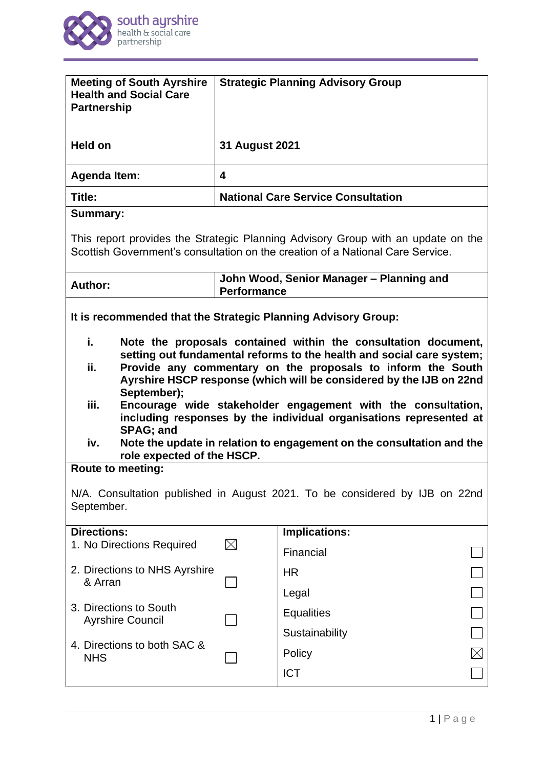

| <b>Meeting of South Ayrshire</b><br><b>Health and Social Care</b><br><b>Partnership</b>                                                                                                                                                                                                                                                                                                                                                                                                                                                                      |                                                                | <b>Strategic Planning Advisory Group</b>  |  |
|--------------------------------------------------------------------------------------------------------------------------------------------------------------------------------------------------------------------------------------------------------------------------------------------------------------------------------------------------------------------------------------------------------------------------------------------------------------------------------------------------------------------------------------------------------------|----------------------------------------------------------------|-------------------------------------------|--|
| Held on                                                                                                                                                                                                                                                                                                                                                                                                                                                                                                                                                      | 31 August 2021                                                 |                                           |  |
| <b>Agenda Item:</b>                                                                                                                                                                                                                                                                                                                                                                                                                                                                                                                                          | 4                                                              |                                           |  |
| Title:                                                                                                                                                                                                                                                                                                                                                                                                                                                                                                                                                       |                                                                | <b>National Care Service Consultation</b> |  |
| <b>Summary:</b>                                                                                                                                                                                                                                                                                                                                                                                                                                                                                                                                              |                                                                |                                           |  |
| This report provides the Strategic Planning Advisory Group with an update on the<br>Scottish Government's consultation on the creation of a National Care Service.                                                                                                                                                                                                                                                                                                                                                                                           |                                                                |                                           |  |
| Author:                                                                                                                                                                                                                                                                                                                                                                                                                                                                                                                                                      | John Wood, Senior Manager - Planning and<br><b>Performance</b> |                                           |  |
| It is recommended that the Strategic Planning Advisory Group:                                                                                                                                                                                                                                                                                                                                                                                                                                                                                                |                                                                |                                           |  |
| i.<br>Note the proposals contained within the consultation document,<br>setting out fundamental reforms to the health and social care system;<br>Provide any commentary on the proposals to inform the South<br>ii.<br>Ayrshire HSCP response (which will be considered by the IJB on 22nd<br>September);<br>iii.<br>Encourage wide stakeholder engagement with the consultation,<br>including responses by the individual organisations represented at<br><b>SPAG</b> ; and<br>iv.<br>Note the update in relation to engagement on the consultation and the |                                                                |                                           |  |
| role expected of the HSCP.<br><b>Route to meeting:</b>                                                                                                                                                                                                                                                                                                                                                                                                                                                                                                       |                                                                |                                           |  |
| N/A. Consultation published in August 2021. To be considered by IJB on 22nd<br>September.                                                                                                                                                                                                                                                                                                                                                                                                                                                                    |                                                                |                                           |  |
| <b>Directions:</b><br>1. No Directions Required                                                                                                                                                                                                                                                                                                                                                                                                                                                                                                              | $\bowtie$                                                      | Implications:                             |  |
|                                                                                                                                                                                                                                                                                                                                                                                                                                                                                                                                                              |                                                                | Financial                                 |  |
| 2. Directions to NHS Ayrshire<br>& Arran                                                                                                                                                                                                                                                                                                                                                                                                                                                                                                                     |                                                                | <b>HR</b>                                 |  |
|                                                                                                                                                                                                                                                                                                                                                                                                                                                                                                                                                              |                                                                | Legal                                     |  |
| 3. Directions to South<br><b>Ayrshire Council</b>                                                                                                                                                                                                                                                                                                                                                                                                                                                                                                            |                                                                | <b>Equalities</b>                         |  |
| 4. Directions to both SAC &                                                                                                                                                                                                                                                                                                                                                                                                                                                                                                                                  |                                                                | Sustainability                            |  |
| <b>NHS</b>                                                                                                                                                                                                                                                                                                                                                                                                                                                                                                                                                   |                                                                | $\boxtimes$<br>Policy                     |  |
|                                                                                                                                                                                                                                                                                                                                                                                                                                                                                                                                                              |                                                                | <b>ICT</b>                                |  |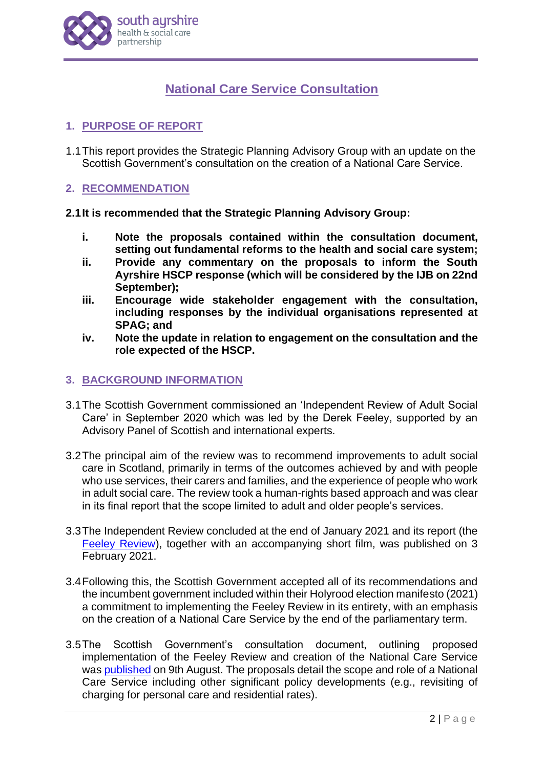

# **National Care Service Consultation**

# **1. PURPOSE OF REPORT**

1.1This report provides the Strategic Planning Advisory Group with an update on the Scottish Government's consultation on the creation of a National Care Service.

## **2. RECOMMENDATION**

## **2.1It is recommended that the Strategic Planning Advisory Group:**

- **i. Note the proposals contained within the consultation document, setting out fundamental reforms to the health and social care system;**
- **ii. Provide any commentary on the proposals to inform the South Ayrshire HSCP response (which will be considered by the IJB on 22nd September);**
- **iii. Encourage wide stakeholder engagement with the consultation, including responses by the individual organisations represented at SPAG; and**
- **iv. Note the update in relation to engagement on the consultation and the role expected of the HSCP.**

## **3. BACKGROUND INFORMATION**

- 3.1The Scottish Government commissioned an 'Independent Review of Adult Social Care' in September 2020 which was led by the Derek Feeley, supported by an Advisory Panel of Scottish and international experts.
- 3.2The principal aim of the review was to recommend improvements to adult social care in Scotland, primarily in terms of the outcomes achieved by and with people who use services, their carers and families, and the experience of people who work in adult social care. The review took a human-rights based approach and was clear in its final report that the scope limited to adult and older people's services.
- 3.3The Independent Review concluded at the end of January 2021 and its report (the [Feeley Review\)](https://www.gov.scot/groups/independent-review-of-adult-social-care/), together with an accompanying short film, was published on 3 February 2021.
- 3.4Following this, the Scottish Government accepted all of its recommendations and the incumbent government included within their Holyrood election manifesto (2021) a commitment to implementing the Feeley Review in its entirety, with an emphasis on the creation of a National Care Service by the end of the parliamentary term.
- 3.5The Scottish Government's consultation document, outlining proposed implementation of the Feeley Review and creation of the National Care Service was [published](https://www.gov.scot/publications/national-care-service-scotland-consultation/documents/) on 9th August. The proposals detail the scope and role of a National Care Service including other significant policy developments (e.g., revisiting of charging for personal care and residential rates).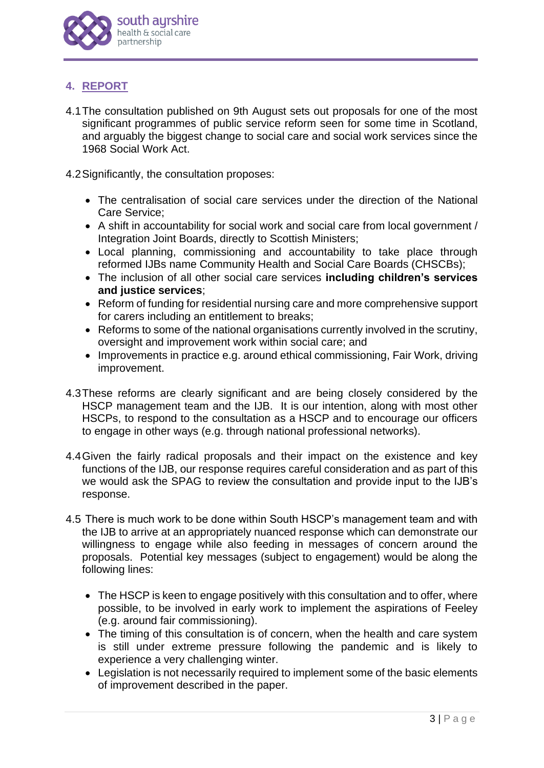

# **4. REPORT**

- 4.1The consultation published on 9th August sets out proposals for one of the most significant programmes of public service reform seen for some time in Scotland, and arguably the biggest change to social care and social work services since the 1968 Social Work Act.
- 4.2Significantly, the consultation proposes:
	- The centralisation of social care services under the direction of the National Care Service;
	- A shift in accountability for social work and social care from local government / Integration Joint Boards, directly to Scottish Ministers;
	- Local planning, commissioning and accountability to take place through reformed IJBs name Community Health and Social Care Boards (CHSCBs);
	- The inclusion of all other social care services **including children's services and justice services**;
	- Reform of funding for residential nursing care and more comprehensive support for carers including an entitlement to breaks;
	- Reforms to some of the national organisations currently involved in the scrutiny, oversight and improvement work within social care; and
	- Improvements in practice e.g. around ethical commissioning, Fair Work, driving improvement.
- 4.3These reforms are clearly significant and are being closely considered by the HSCP management team and the IJB. It is our intention, along with most other HSCPs, to respond to the consultation as a HSCP and to encourage our officers to engage in other ways (e.g. through national professional networks).
- 4.4Given the fairly radical proposals and their impact on the existence and key functions of the IJB, our response requires careful consideration and as part of this we would ask the SPAG to review the consultation and provide input to the IJB's response.
- 4.5 There is much work to be done within South HSCP's management team and with the IJB to arrive at an appropriately nuanced response which can demonstrate our willingness to engage while also feeding in messages of concern around the proposals. Potential key messages (subject to engagement) would be along the following lines:
	- The HSCP is keen to engage positively with this consultation and to offer, where possible, to be involved in early work to implement the aspirations of Feeley (e.g. around fair commissioning).
	- The timing of this consultation is of concern, when the health and care system is still under extreme pressure following the pandemic and is likely to experience a very challenging winter.
	- Legislation is not necessarily required to implement some of the basic elements of improvement described in the paper.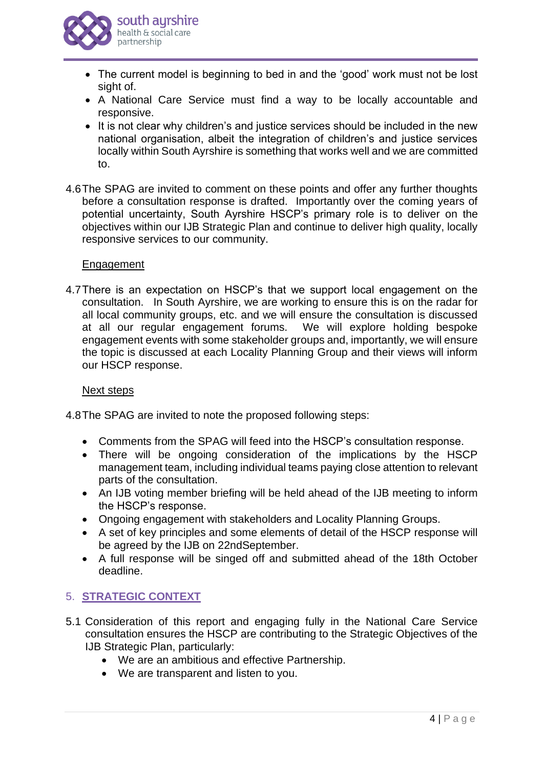

- The current model is beginning to bed in and the 'good' work must not be lost sight of.
- A National Care Service must find a way to be locally accountable and responsive.
- It is not clear why children's and justice services should be included in the new national organisation, albeit the integration of children's and justice services locally within South Ayrshire is something that works well and we are committed to.
- 4.6The SPAG are invited to comment on these points and offer any further thoughts before a consultation response is drafted. Importantly over the coming years of potential uncertainty, South Ayrshire HSCP's primary role is to deliver on the objectives within our IJB Strategic Plan and continue to deliver high quality, locally responsive services to our community.

### **Engagement**

4.7There is an expectation on HSCP's that we support local engagement on the consultation. In South Ayrshire, we are working to ensure this is on the radar for all local community groups, etc. and we will ensure the consultation is discussed at all our regular engagement forums. We will explore holding bespoke engagement events with some stakeholder groups and, importantly, we will ensure the topic is discussed at each Locality Planning Group and their views will inform our HSCP response.

#### Next steps

4.8The SPAG are invited to note the proposed following steps:

- Comments from the SPAG will feed into the HSCP's consultation response.
- There will be ongoing consideration of the implications by the HSCP management team, including individual teams paying close attention to relevant parts of the consultation.
- An IJB voting member briefing will be held ahead of the IJB meeting to inform the HSCP's response.
- Ongoing engagement with stakeholders and Locality Planning Groups.
- A set of key principles and some elements of detail of the HSCP response will be agreed by the IJB on 22ndSeptember.
- A full response will be singed off and submitted ahead of the 18th October deadline.

## 5. **STRATEGIC CONTEXT**

- 5.1 Consideration of this report and engaging fully in the National Care Service consultation ensures the HSCP are contributing to the Strategic Objectives of the IJB Strategic Plan, particularly:
	- We are an ambitious and effective Partnership.
	- We are transparent and listen to you.